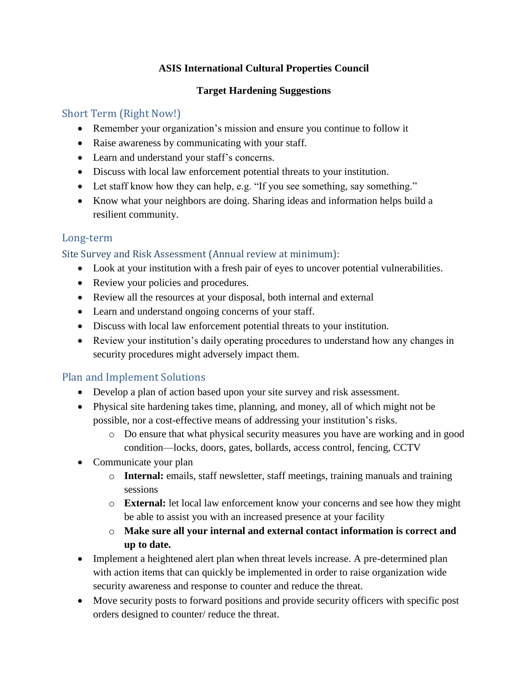## **ASIS International Cultural Properties Council**

#### **Target Hardening Suggestions**

#### Short Term (Right Now!)

- Remember your organization's mission and ensure you continue to follow it
- Raise awareness by communicating with your staff.
- Learn and understand your staff's concerns.
- Discuss with local law enforcement potential threats to your institution.
- Let staff know how they can help, e.g. "If you see something, say something."
- Know what your neighbors are doing. Sharing ideas and information helps build a resilient community.

## Long-term

#### Site Survey and Risk Assessment (Annual review at minimum):

- Look at your institution with a fresh pair of eyes to uncover potential vulnerabilities.
- Review your policies and procedures.
- Review all the resources at your disposal, both internal and external
- Learn and understand ongoing concerns of your staff.
- Discuss with local law enforcement potential threats to your institution.
- Review your institution's daily operating procedures to understand how any changes in security procedures might adversely impact them.

## Plan and Implement Solutions

- Develop a plan of action based upon your site survey and risk assessment.
- Physical site hardening takes time, planning, and money, all of which might not be possible, nor a cost-effective means of addressing your institution's risks.
	- o Do ensure that what physical security measures you have are working and in good condition—locks, doors, gates, bollards, access control, fencing, CCTV
- Communicate your plan
	- o **Internal:** emails, staff newsletter, staff meetings, training manuals and training sessions
	- o **External:** let local law enforcement know your concerns and see how they might be able to assist you with an increased presence at your facility
	- o **Make sure all your internal and external contact information is correct and up to date.**
- Implement a heightened alert plan when threat levels increase. A pre-determined plan with action items that can quickly be implemented in order to raise organization wide security awareness and response to counter and reduce the threat.
- Move security posts to forward positions and provide security officers with specific post orders designed to counter/ reduce the threat.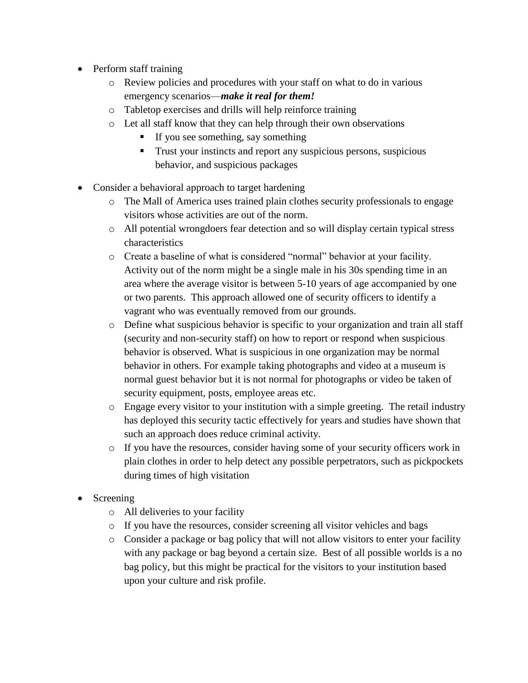- Perform staff training
	- o Review policies and procedures with your staff on what to do in various emergency scenarios—*make it real for them!*
	- o Tabletop exercises and drills will help reinforce training
	- o Let all staff know that they can help through their own observations
		- If you see something, say something
		- **Trust your instincts and report any suspicious persons, suspicious** behavior, and suspicious packages
- Consider a behavioral approach to target hardening
	- o The Mall of America uses trained plain clothes security professionals to engage visitors whose activities are out of the norm.
	- o All potential wrongdoers fear detection and so will display certain typical stress characteristics
	- o Create a baseline of what is considered "normal" behavior at your facility. Activity out of the norm might be a single male in his 30s spending time in an area where the average visitor is between 5-10 years of age accompanied by one or two parents. This approach allowed one of security officers to identify a vagrant who was eventually removed from our grounds.
	- o Define what suspicious behavior is specific to your organization and train all staff (security and non-security staff) on how to report or respond when suspicious behavior is observed. What is suspicious in one organization may be normal behavior in others. For example taking photographs and video at a museum is normal guest behavior but it is not normal for photographs or video be taken of security equipment, posts, employee areas etc.
	- o Engage every visitor to your institution with a simple greeting. The retail industry has deployed this security tactic effectively for years and studies have shown that such an approach does reduce criminal activity.
	- o If you have the resources, consider having some of your security officers work in plain clothes in order to help detect any possible perpetrators, such as pickpockets during times of high visitation
- Screening
	- o All deliveries to your facility
	- o If you have the resources, consider screening all visitor vehicles and bags
	- o Consider a package or bag policy that will not allow visitors to enter your facility with any package or bag beyond a certain size. Best of all possible worlds is a no bag policy, but this might be practical for the visitors to your institution based upon your culture and risk profile.